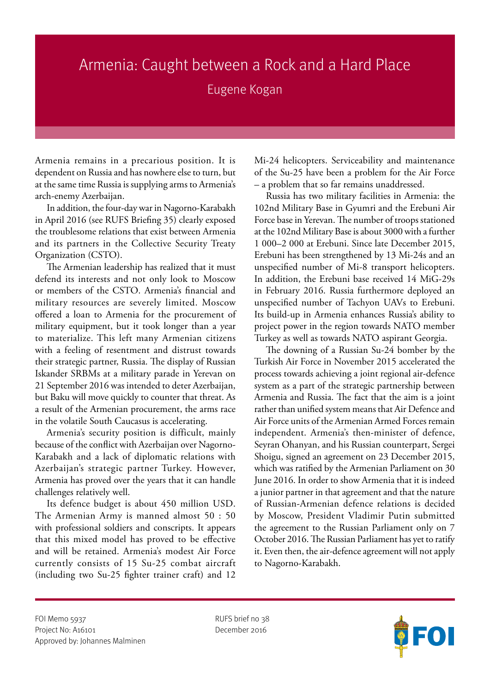## Armenia: Caught between a Rock and a Hard Place

## Eugene Kogan

Armenia remains in a precarious position. It is dependent on Russia and has nowhere else to turn, but at the same time Russia is supplying arms to Armenia's arch-enemy Azerbaijan.

In addition, the four-day war in Nagorno-Karabakh in April 2016 (see RUFS Briefing 35) clearly exposed the troublesome relations that exist between Armenia and its partners in the Collective Security Treaty Organization (CSTO).

The Armenian leadership has realized that it must defend its interests and not only look to Moscow or members of the CSTO. Armenia's financial and military resources are severely limited. Moscow offered a loan to Armenia for the procurement of military equipment, but it took longer than a year to materialize. This left many Armenian citizens with a feeling of resentment and distrust towards their strategic partner, Russia. The display of Russian Iskander SRBMs at a military parade in Yerevan on 21 September 2016 was intended to deter Azerbaijan, but Baku will move quickly to counter that threat. As a result of the Armenian procurement, the arms race in the volatile South Caucasus is accelerating.

Armenia's security position is difficult, mainly because of the conflict with Azerbaijan over Nagorno-Karabakh and a lack of diplomatic relations with Azerbaijan's strategic partner Turkey. However, Armenia has proved over the years that it can handle challenges relatively well.

Its defence budget is about 450 million USD. The Armenian Army is manned almost 50 : 50 with professional soldiers and conscripts. It appears that this mixed model has proved to be effective and will be retained. Armenia's modest Air Force currently consists of 15 Su-25 combat aircraft (including two Su-25 fighter trainer craft) and 12

Mi-24 helicopters. Serviceability and maintenance of the Su-25 have been a problem for the Air Force – a problem that so far remains unaddressed.

Russia has two military facilities in Armenia: the 102nd Military Base in Gyumri and the Erebuni Air Force base in Yerevan. The number of troops stationed at the 102nd Military Base is about 3000 with a further 1 000–2 000 at Erebuni. Since late December 2015, Erebuni has been strengthened by 13 Mi-24s and an unspecified number of Mi-8 transport helicopters. In addition, the Erebuni base received 14 MiG-29s in February 2016. Russia furthermore deployed an unspecified number of Tachyon UAVs to Erebuni. Its build-up in Armenia enhances Russia's ability to project power in the region towards NATO member Turkey as well as towards NATO aspirant Georgia.

The downing of a Russian Su-24 bomber by the Turkish Air Force in November 2015 accelerated the process towards achieving a joint regional air-defence system as a part of the strategic partnership between Armenia and Russia. The fact that the aim is a joint rather than unified system means that Air Defence and Air Force units of the Armenian Armed Forces remain independent. Armenia's then-minister of defence, Seyran Ohanyan, and his Russian counterpart, Sergei Shoigu, signed an agreement on 23 December 2015, which was ratified by the Armenian Parliament on 30 June 2016. In order to show Armenia that it is indeed a junior partner in that agreement and that the nature of Russian-Armenian defence relations is decided by Moscow, President Vladimir Putin submitted the agreement to the Russian Parliament only on 7 October 2016. The Russian Parliament has yet to ratify it. Even then, the air-defence agreement will not apply to Nagorno-Karabakh.

FOI Memo 5937 RUFS brief no 38 Project No: A16101 December 2016 Approved by: Johannes Malminen